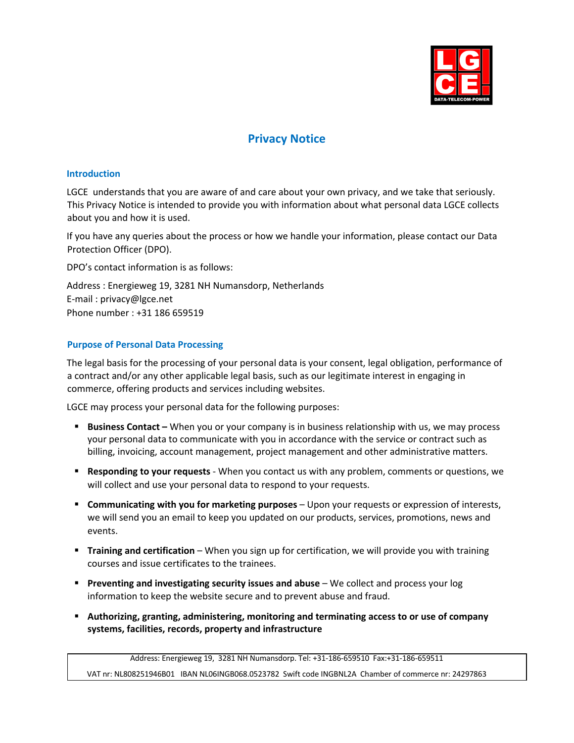

# **Privacy Notice**

#### **Introduction**

LGCE understands that you are aware of and care about your own privacy, and we take that seriously. This Privacy Notice is intended to provide you with information about what personal data LGCE collects about you and how it is used.

If you have any queries about the process or how we handle your information, please contact our Data Protection Officer (DPO).

DPO's contact information is as follows:

Address : Energieweg 19, 3281 NH Numansdorp, Netherlands E-mail : privacy@lgce.net Phone number : +31 186 659519

## **Purpose of Personal Data Processing**

The legal basis for the processing of your personal data is your consent, legal obligation, performance of a contract and/or any other applicable legal basis, such as our legitimate interest in engaging in commerce, offering products and services including websites.

LGCE may process your personal data for the following purposes:

- **Business Contact** When you or your company is in business relationship with us, we may process your personal data to communicate with you in accordance with the service or contract such as billing, invoicing, account management, project management and other administrative matters.
- § **Responding to your requests** When you contact us with any problem, comments or questions, we will collect and use your personal data to respond to your requests.
- **E** Communicating with you for marketing purposes Upon your requests or expression of interests, we will send you an email to keep you updated on our products, services, promotions, news and events.
- **Training and certification** When you sign up for certification, we will provide you with training courses and issue certificates to the trainees.
- **Preventing and investigating security issues and abuse** We collect and process your log information to keep the website secure and to prevent abuse and fraud.
- § **Authorizing, granting, administering, monitoring and terminating access to or use of company systems, facilities, records, property and infrastructure**

Address: Energieweg 19, 3281 NH Numansdorp. Tel: +31-186-659510 Fax:+31-186-659511 VAT nr: NL808251946B01 IBAN NL06INGB068.0523782 Swift code INGBNL2A Chamber of commerce nr: 24297863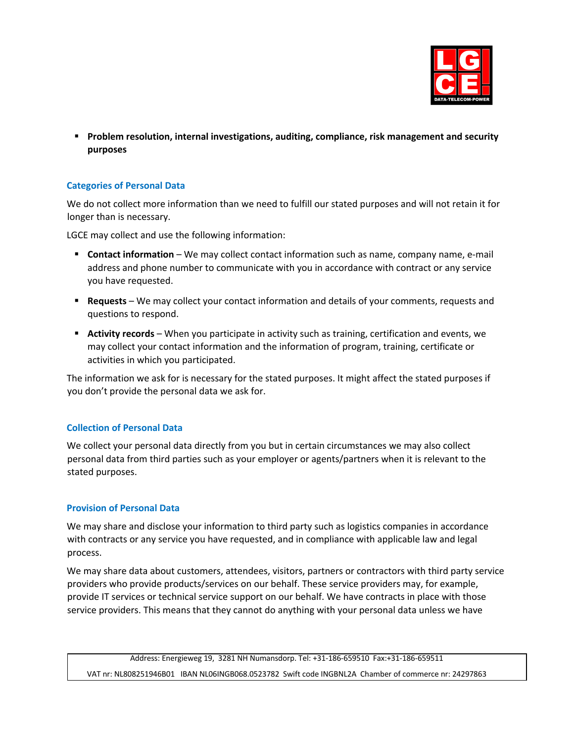

§ **Problem resolution, internal investigations, auditing, compliance, risk management and security purposes** 

## **Categories of Personal Data**

We do not collect more information than we need to fulfill our stated purposes and will not retain it for longer than is necessary.

LGCE may collect and use the following information:

- **Contact information** We may collect contact information such as name, company name, e-mail address and phone number to communicate with you in accordance with contract or any service you have requested.
- § **Requests** We may collect your contact information and details of your comments, requests and questions to respond.
- **Activity records** When you participate in activity such as training, certification and events, we may collect your contact information and the information of program, training, certificate or activities in which you participated.

The information we ask for is necessary for the stated purposes. It might affect the stated purposes if you don't provide the personal data we ask for.

## **Collection of Personal Data**

We collect your personal data directly from you but in certain circumstances we may also collect personal data from third parties such as your employer or agents/partners when it is relevant to the stated purposes.

## **Provision of Personal Data**

We may share and disclose your information to third party such as logistics companies in accordance with contracts or any service you have requested, and in compliance with applicable law and legal process.

We may share data about customers, attendees, visitors, partners or contractors with third party service providers who provide products/services on our behalf. These service providers may, for example, provide IT services or technical service support on our behalf. We have contracts in place with those service providers. This means that they cannot do anything with your personal data unless we have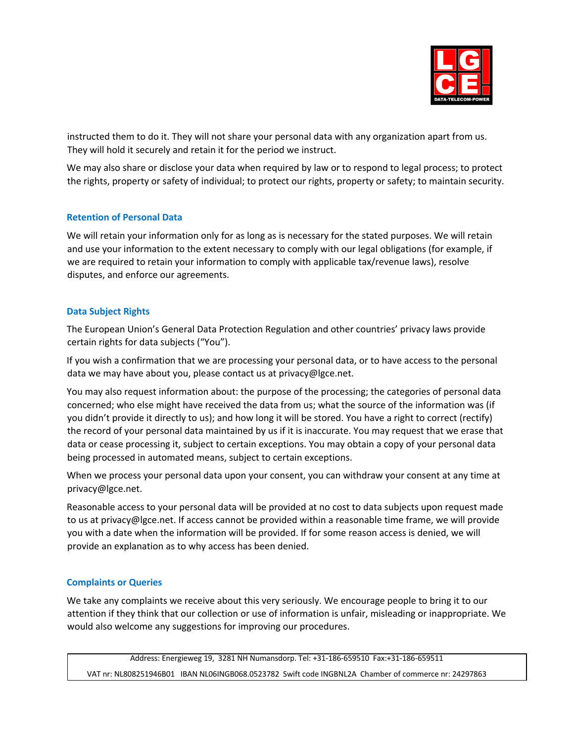

instructed them to do it. They will not share your personal data with any organization apart from us. They will hold it securely and retain it for the period we instruct.

We may also share or disclose your data when required by law or to respond to legal process; to protect the rights, property or safety of individual; to protect our rights, property or safety; to maintain security.

## **Retention of Personal Data**

We will retain your information only for as long as is necessary for the stated purposes. We will retain and use your information to the extent necessary to comply with our legal obligations (for example, if we are required to retain your information to comply with applicable tax/revenue laws), resolve disputes, and enforce our agreements.

#### **Data Subject Rights**

The European Union's General Data Protection Regulation and other countries' privacy laws provide certain rights for data subjects ("You").

If you wish a confirmation that we are processing your personal data, or to have access to the personal data we may have about you, please contact us at privacy@lgce.net.

You may also request information about: the purpose of the processing; the categories of personal data concerned; who else might have received the data from us; what the source of the information was (if you didn't provide it directly to us); and how long it will be stored. You have a right to correct (rectify) the record of your personal data maintained by us if it is inaccurate. You may request that we erase that data or cease processing it, subject to certain exceptions. You may obtain a copy of your personal data being processed in automated means, subject to certain exceptions.

When we process your personal data upon your consent, you can withdraw your consent at any time at privacy@lgce.net.

Reasonable access to your personal data will be provided at no cost to data subjects upon request made to us at privacy@lgce.net. If access cannot be provided within a reasonable time frame, we will provide you with a date when the information will be provided. If for some reason access is denied, we will provide an explanation as to why access has been denied.

#### **Complaints or Queries**

We take any complaints we receive about this very seriously. We encourage people to bring it to our attention if they think that our collection or use of information is unfair, misleading or inappropriate. We would also welcome any suggestions for improving our procedures.